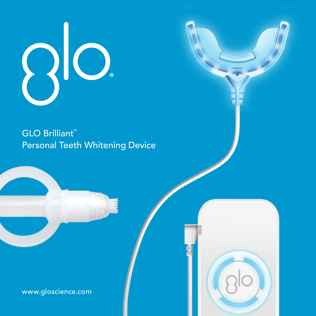

GLO Brilliant™ Personal Teeth Whitening Device

www.gloscience.com

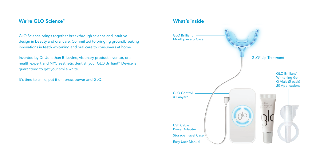# We're GLO Science<sup>™</sup>

GLO Science brings together breakthrough science and intuitive design in beauty and oral care. Committed to bringing groundbreaking innovations in teeth whitening and oral care to consumers at home.

Invented by Dr. Jonathan B. Levine, visionary product inventor, oral health expert and NYC aesthetic dentist, your GLO Brilliant™ Device is guaranteed to get your smile white.

It's time to smile, put it on, press power and GLO!

# What's inside

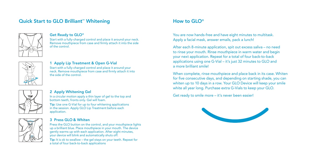# Quick Start to GLO Brilliant™ Whitening



## Get Ready to GLO®

Start with a fully-charged control and place it around your neck. Remove mouthpiece from case and firmly attach it into the side of the control.



## 1 Apply Lip Treatment & Open G-Vial

Start with a fully-charged control and place it around your neck. Remove mouthpiece from case and firmly attach it into the side of the control.

## 2 Apply Whitening Gel

In a circular motion apply a thin layer of gel to the top and bottom teeth, fronts only. Gel will foam. Tip: Use one G-Vial for up to four whitening applications

in the session. Apply GLO Lip Treatment before each application.

## 3 Press GLO & Whiten

Press the GLO button on the control, and your mouthpiece lights up a brilliant blue. Place mouthpiece in your mouth. The device gently warms up with each application. After eight minutes, your device will blink and automatically shuts off. Tip: It is ok to swallow – the gel stays on your teeth. Repeat for a total of four back-to-back applications

# How to GLO®

You are now hands-free and have eight minutes to multitask. Apply a facial mask, answer emails, pack a lunch!

After each 8-minute application, spit out excess saliva – no need to rinse your mouth. Rinse mouthpiece in warm water and begin your next application. Repeat for a total of four back-to-back applications using one G-Vial – it's just 32 minutes to GLO and a more brilliant smile!

When complete, rinse mouthpiece and place back in its case. Whiten for five consecutive days, and depending on starting shade, you can whiten up to 10 days in a row. Your GLO Device will keep your smile white all year long. Purchase extra G-Vials to keep your GLO.

Get ready to smile more – it's never been easier!

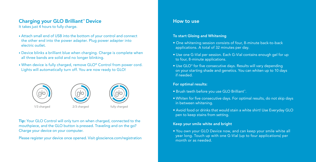# Charging your GLO Brilliant™ Device How to use How to use

It takes just 4 hours to fully charge.

- Attach small end of USB into the bottom of your control and connect the other end into the power adapter. Plug power adapter into electric outlet.
- Device blinks a brilliant blue when charging. Charge is complete when all three bands are solid and no longer blinking.
- When device is fully charged, remove GLO® Control from power cord. Lights will automatically turn off. You are now ready to GLO!



Tip: Your GLO Control will only turn on when charged, connected to the mouthpiece, and the GLO button is pressed. Traveling and on the go? Charge your device on your computer.

Please register your device once opened. Visit gloscience.com/registration

## To start Gloing and Whitening

- One whitening session consists of four, 8-minute back-to-back applications. A total of 32 minutes per day.
- Use one G-Vial per session. Each G-Vial contains enough gel for up to four, 8-minute applications.
- Use GLO® for five consecutive days. Results will vary depending on your starting shade and genetics. You can whiten up to 10 days if needed.

## For optimal results:

- Brush teeth before you use GLO Brilliant™.
- Whiten for five consecutive days. For optimal results, do not skip days in between whitening.
- Avoid food or drinks that would stain a white shirt! Use Everyday GLO pen to keep stains from setting.

## Keep your smile white and bright

• You own your GLO Device now, and can keep your smile white all year long. Touch up with one G-Vial (up to four applications) per month or as needed.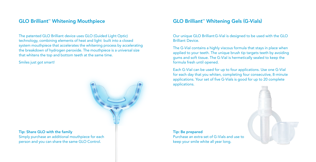The patented GLO Brilliant device uses GLO (Guided Light Optic) technology, combining elements of heat and light built into a closed system mouthpiece that accelerates the whitening process by accelerating the breakdown of hydrogen peroxide. The mouthpiece is a universal size that whitens the top and bottom teeth at the same time.

Smiles just got smart!



## Tip: Share GLO with the family

Simply purchase an additional mouthpiece for each person and you can share the same GLO Control.

# GLO Brilliant™ Whitening Mouthpiece GLO Brilliant™ Whitening Gels (G-Vials)

Our unique GLO BrilliantG-Vial is designed to be used with the GLO Brilliant Device.

The G-Vial contains a highly viscous formula that stays in place when applied to your teeth. The unique brush tip targets teeth by avoiding gums and soft tissue. The G-Vial is hermetically sealed to keep the formula fresh until opened.

Each G-Vial can be used for up to four applications. Use one G-Vial for each day that you whiten, completing four consecutive, 8-minute applications. Your set of five G-Vials is good for up to 20 complete applications.

Tip: Be prepared Purchase an extra set of G-Vials and use to keep your smile white all year long.

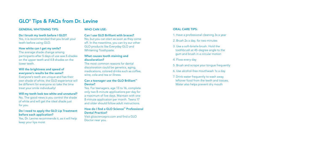# GLO® Tips & FAQs from Dr. Levine

#### GENERAL WHITENING TIPS:

#### WHO CAN USE:

### Do I brush my teeth before I GLO?

Yes, it is recommended that you brush your teeth before using GLO.

#### How white can I get my smile?

The average shade change among participants after 5 days of use was 5 shades on the upper teeth and 4.8 shades on the lower teeth.

#### Will the brightness and speed of everyone's results be the same?

Everyone's teeth are unique and has their own shade of white, the GLO experience will be different for everyone so take the time treat your smile individually!

Will my teeth look too white and unnatural? No. The good news is you control the shade of white and will get the ideal shade just for you.

#### Do I need to apply the GLO Lip Treatment before each application?

Yes, Dr. Levine recommends it, as it will help keep your lips moist

#### Can I use GLO Brilliant with braces? No, but you can start as soon as they come off. In the meantime, you can try our other GLO products like Everyday GLO and Whitening Toothpaste.

What causes tooth staining and discoloration?

The most common reasons for dental discoloration could be genetics, aging, medications, colored drinks such as coffee, wine, cola and tea or illness.

### Can a teenager use the GLO Brilliant™ Device?

Yes. For teenagers, age 13 to 16, complete only two 8-minute applications per day for a maximum of five days. Maintain with one 8-minute application per month. Teens 17 and older should follow adult instructions.

#### How do I find a GLO Science™ Professional Dental Practice?

Visit glosciencepro.com and find a GLO Doctor near you.

#### ORAL CARE TIPS:

1. Have a professional cleaning 3x a year

- 2. Brush 2x a day, for two minutes
- 3. Use a soft-bristle brush. Hold the toothbrush at 45-degree angle to the gum and brush in a circular motion
- 4. Floss every day
- 5. Brush and scrape your tongue frequently
- 6. Use alcohol-free mouthwash 1x a day
- 7. Drink water frequently to wash away leftover food from the teeth and tissues. Water also helps prevent dry mouth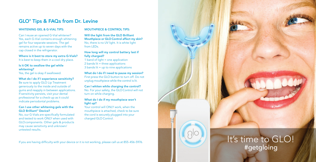# GLO ® Tips & FAQs from Dr. Levine

### WHITENING GEL & G-VIAL TIPS.

### MOUTHPIECE & CONTROL TIPS:

Can I reuse an opened G-Vial whitener? Yes, each G-Vial contains enough whitening gel for four separate sessions. The gel remains active up to seven days with the cap closed in the refrigerator.

Where is it best to store my extra G-Vials? It is best to keep them in a cool dry place.

#### Is it OK to swallow the gel while whitening?

Yes, the gel is okay if swallowed.

## What do I do if I experience sensitivity?

Be sure to apply GLO Lip Treatment generously to the inside and outside of gums and reapply in between applications. If sensitivity persists, visit your dental professional for a check-up as it could indicate periodontal problems.

#### Can I use other whitening gels with the GLO Brilliant ™ Device?

No, our G-Vials are specifically formulated and tested to work ONLY when used with GLOcomponents. Other gels & products may cause sensitivity and unknown/ untested results .

Will the light from the GLO Brilliant Mouthpiece or GLO Control affect my skin? No, there is no UV light. It is white light from LEDs.

How long will my control battery last if fully charged?

1 band of light = one application 2 bands lit = three applications 3 bands lit = up to nine applications

What do I do if I need to pause my session? First press the GLO button to turn off. Do not unplug mouthpiece while the control is lit.

Can I whiten while charging the control? No. For your safety, the GLO Control will not turn on while charging.

#### What do I do if my mouthpiece won't light up?

Your control will ONLY work, when the mouthpiece is attached, check to be sure the cord is securely plugged into your charged GLO Control.

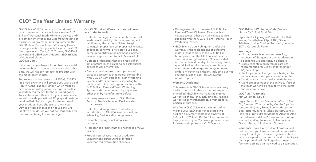# GLO® One Year Limited Warranty

GLO Science™ LLC commits to the original retail purchaser that we will replace your GLO Brilliant™ Personal Teeth Whitening Device and/ or components within one year from the date of purchase, for any manufacturing defect in the GLO Brilliant Personal Teeth Whitening Device or components. (Components include: the GLO Mouthpiece and Case, GLO Control, GLO Dock, Lanyard and USB/Power Adapter, GLO Brilliant Whitening Gels and GLO Lip Care).

If the product you have shipped back is a model no longer being made and is unavailable at that time, we will happily replace the product with the most recent model.

To process a return, please call 855-GLO-5976 (855-456-5976). We will provide you with a valid Return Authorization Number, which must be accompanied with your return together with a valid itemized receipt for the returned goods. To ship back your Device, for your convenience, we will provide you with a UPS prepaid postage label mailed directly to you for the return of your product. If you choose to return your Device or components and not use the UPS label we provide, we will not be responsible for the product being lost or damaged.

#### Our GLO Limited Warranty does not cover any of the following

- Defects, damage or other conditions caused, in whole or in part, by misuse, abuse, neglect, negligence, alteration, accident, freight damage, improper repair, improper maintenance, improper, abnormal or excessive use and/ or failure to obtain a replacement in a timely manner, as prescribed by GLO Science LLC.
- Defects or damages that are a result of an act of nature (such as a flood or earthquake) or acts of war or terrorism.
- Damage resulting from improper use of parts or accessories that are not compatible with GLO Brilliant Personal Teeth Whitening System and/or components, including but not limited to the breakage or fracture of the GLO Brilliant Personal Teeth Whitening System and/or components by any reason other than by manufacturing defect.
- Ordinary wear and tear on GLO Brilliant Personal Teeth Whitening Device and/or components.
- Defects or damages as a result of any modification of GLO Brilliant Personal Teeth Whitening Device and/or components.
- Cosmetic damage, including scratches or dents.
- Accessories or parts that are not those of GLO Science.
- Products purchased, new or used, from unauthorized distributors or through unauthorized distribution channels.
- Damage resulting from use of GLO Brilliant Personal Teeth Whitening Device with a voltage source, other than the voltage source supplied with the GLO Brilliant Personal Teeth Whitening Device.
- GLO Science's only obligation under this warranty is the replacement of defective material that comprises the GLO Brilliant Mouthpiece and the GLO Brilliant Personal Teeth Whitening Device. GLO Science shall not be liable and hereby disclaims any direct, special, indirect, incidental, exemplary or consequential damages or delays or losses under any other legal theory, including but not limited to, loss of use, loss of revenue, or loss of profits.

#### Warranty Disclaimer

This warranty is GLO Science's only warranty and is in lieu of all other warranties, express or implied. GLO Science makes no implied warranties of any kind, including any implied warranties or merchantability or fitness for a particular purpose.

All of us at GLO Science are committed to making your GLO experience as positive as it can be. Simply contact us anytime at 855-GLO-5976 (855-456-5976) and we will be happy to assist you. Visit www.gloscience.com for news and updates on GLO Science.

GLO Brilliant Whitening Gels (G-Vials) Net wt 5 x 2.2 ml, 5 x 0.08 oz

Ingredients: Hydrogen Peroxide, Distilled Water, Polyethylene Glycol 400, Glycerin, Triethanolamine, Sodium Saccharin, Versene EDTA, Carbopol, Flavor.

#### Warnings<sup>\*</sup>

- If irritation (such as redness, swelling, soreness) of the gums or the mouth occurs. discontinue use and consult a dentist.
- Products containing peroxides are not recommended for use by children under 12 years of age.
- Use for periods of longer than 14 days is to be only under the supervision of a dentist.
- Avoid contact of the product with the eye.
- Avoid direct contact of the active surface of the tooth whitening product with the gums and/or salivary flow.

#### GLO® Lip Treatment Net wt .30 oz, 8.50 g

Ingredients: Ricinus Communis (Castor) Seed Oil, Beeswax/Cire d'abeille, Mentha Piperita (peppermint) leaf, Stearalkonium Hectorite, Butyrospermum Parkii (Shea) Butter\*, Vanilla Planifolia Fruit extract, Menthol, Alcohol, Aloe Barbadensis Leaf Juice\*, Copernicia Cerifera (Carnauba) Wax, Tocopherol, Ammonium Glycyrrhizate, Ubiquinone. \*Organic.

Cautions: Consult with a dental professional before use if you have untreated dental cavities or any form of gum disease. If gum irritation occurs, stop using the product and contact your dental professional. Avoid getting the gel on fabric or clothing as it may lead to discoloration.